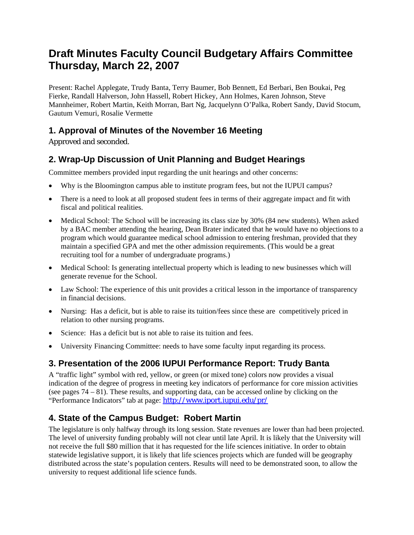# **Draft Minutes Faculty Council Budgetary Affairs Committee Thursday, March 22, 2007**

Present: Rachel Applegate, Trudy Banta, Terry Baumer, Bob Bennett, Ed Berbari, Ben Boukai, Peg Fierke, Randall Halverson, John Hassell, Robert Hickey, Ann Holmes, Karen Johnson, Steve Mannheimer, Robert Martin, Keith Morran, Bart Ng, Jacquelynn O'Palka, Robert Sandy, David Stocum, Gautum Vemuri, Rosalie Vermette

## **1. Approval of Minutes of the November 16 Meeting**

Approved and seconded.

## **2. Wrap-Up Discussion of Unit Planning and Budget Hearings**

Committee members provided input regarding the unit hearings and other concerns:

- Why is the Bloomington campus able to institute program fees, but not the IUPUI campus?
- There is a need to look at all proposed student fees in terms of their aggregate impact and fit with fiscal and political realities.
- Medical School: The School will be increasing its class size by 30% (84 new students). When asked by a BAC member attending the hearing, Dean Brater indicated that he would have no objections to a program which would guarantee medical school admission to entering freshman, provided that they maintain a specified GPA and met the other admission requirements. (This would be a great recruiting tool for a number of undergraduate programs.)
- Medical School: Is generating intellectual property which is leading to new businesses which will generate revenue for the School.
- Law School: The experience of this unit provides a critical lesson in the importance of transparency in financial decisions.
- Nursing: Has a deficit, but is able to raise its tuition/fees since these are competitively priced in relation to other nursing programs.
- Science: Has a deficit but is not able to raise its tuition and fees.
- University Financing Committee: needs to have some faculty input regarding its process.

## **3. Presentation of the 2006 IUPUI Performance Report: Trudy Banta**

A "traffic light" symbol with red, yellow, or green (or mixed tone) colors now provides a visual indication of the degree of progress in meeting key indicators of performance for core mission activities (see pages  $74 - 81$ ). These results, and supporting data, can be accessed online by clicking on the "Performance Indicators" tab at page: http://www.iport.iupui.edu/pr/

#### **4. State of the Campus Budget: Robert Martin**

The legislature is only halfway through its long session. State revenues are lower than had been projected. The level of university funding probably will not clear until late April. It is likely that the University will not receive the full \$80 million that it has requested for the life sciences initiative. In order to obtain statewide legislative support, it is likely that life sciences projects which are funded will be geography distributed across the state's population centers. Results will need to be demonstrated soon, to allow the university to request additional life science funds.